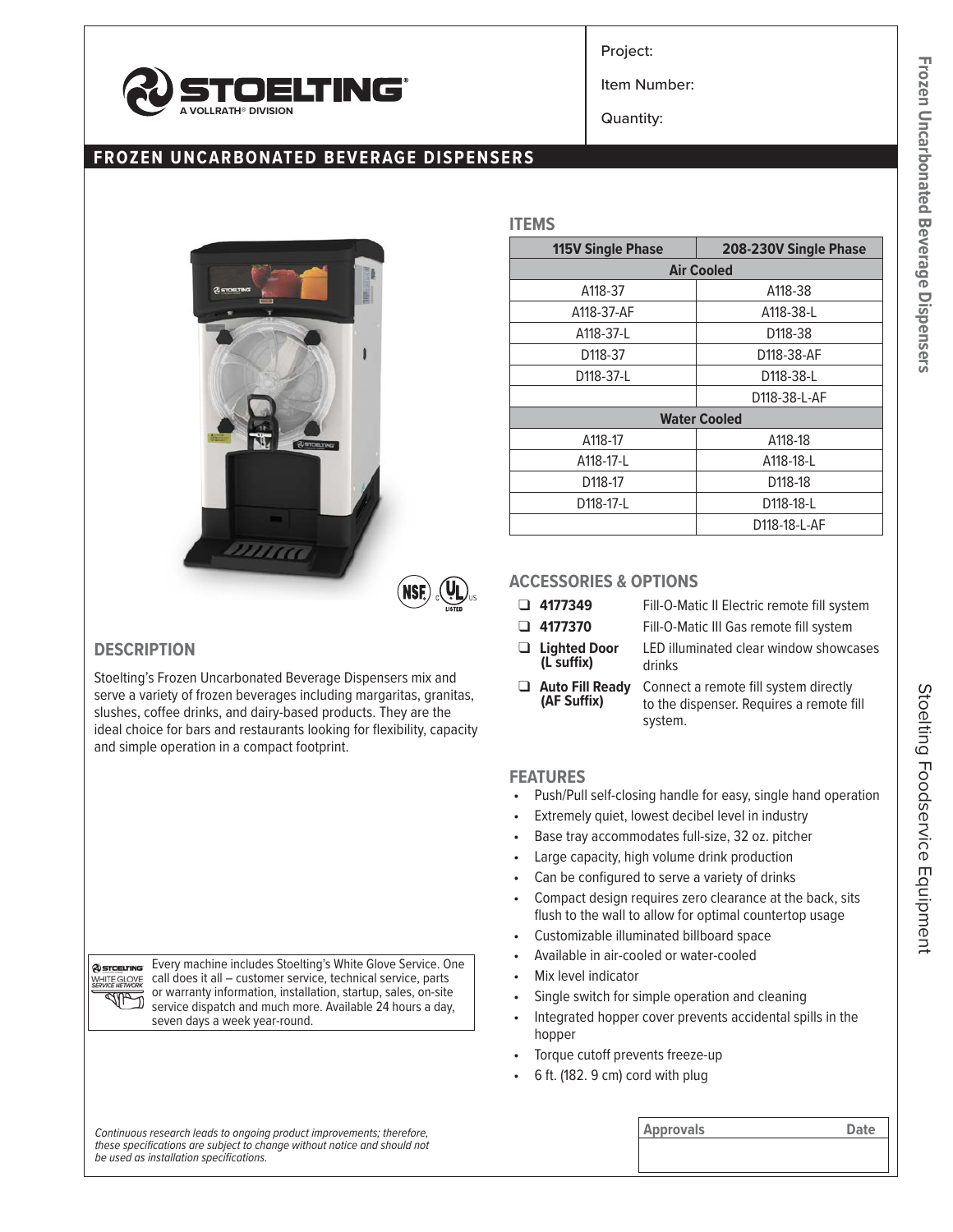

Project:

Item Number:

Quantity:

# **FROZEN UNCARBONATED BEVERAGE DISPENSERS**



**NSE** 

## **DESCRIPTION**

@STOELTING WHITE GLOVE dha D

Stoelting's Frozen Uncarbonated Beverage Dispensers mix and serve a variety of frozen beverages including margaritas, granitas, slushes, coffee drinks, and dairy-based products. They are the ideal choice for bars and restaurants looking for flexibility, capacity and simple operation in a compact footprint.

> Every machine includes Stoelting's White Glove Service. One call does it all – customer service, technical service, parts or warranty information, installation, startup, sales, on-site service dispatch and much more. Available 24 hours a day,

seven days a week year-round.

| <b>115V Single Phase</b> | 208-230V Single Phase                                              |  |  |  |  |
|--------------------------|--------------------------------------------------------------------|--|--|--|--|
|                          | <b>Air Cooled</b><br>A118-38<br>A118-38-L<br>D118-38<br>D118-38-AF |  |  |  |  |
| A118-37                  |                                                                    |  |  |  |  |
| A118-37-AF               |                                                                    |  |  |  |  |
| A118-37-L                |                                                                    |  |  |  |  |
| D118-37                  |                                                                    |  |  |  |  |
| D118-37-L                | D118-38-L                                                          |  |  |  |  |
|                          | D118-38-L-AF                                                       |  |  |  |  |
|                          | <b>Water Cooled</b>                                                |  |  |  |  |
| A118-17                  | A118-18                                                            |  |  |  |  |
| A118-17-L                | A118-18-L                                                          |  |  |  |  |
| D <sub>118</sub> -17     | D <sub>118</sub> -18                                               |  |  |  |  |
| D118-17-L                | D118-18-L                                                          |  |  |  |  |
|                          | D118-18-L-AF                                                       |  |  |  |  |

### **ACCESSORIES & OPTIONS**

**ITEMS**

❑ **4177349** Fill-O-Matic II Electric remote fill system

- 
- ❑ **4177370** Fill-O-Matic III Gas remote fill system
- ❑ **Lighted Door (L suffix)**
- LED illuminated clear window showcases
- drinks
- ❑ **Auto Fill Ready (AF Suffix)** Connect a remote fill system directly to the dispenser. Requires a remote fill system.

#### **FEATURES**

- Push/Pull self-closing handle for easy, single hand operation
- Extremely quiet, lowest decibel level in industry
- Base tray accommodates full-size, 32 oz. pitcher
- Large capacity, high volume drink production
- Can be configured to serve a variety of drinks
- Compact design requires zero clearance at the back, sits flush to the wall to allow for optimal countertop usage
- Customizable illuminated billboard space
- Available in air-cooled or water-cooled
- Mix level indicator
- Single switch for simple operation and cleaning
- Integrated hopper cover prevents accidental spills in the hopper
- Torque cutoff prevents freeze-up
- 6 ft. (182. 9 cm) cord with plug

| Continuous research leads to ongoing product improvements; therefore,    | <b>Approvals</b> | Date |
|--------------------------------------------------------------------------|------------------|------|
| these specifications are subject to change without notice and should not |                  |      |
| be used as installation specifications.                                  |                  |      |
|                                                                          |                  |      |